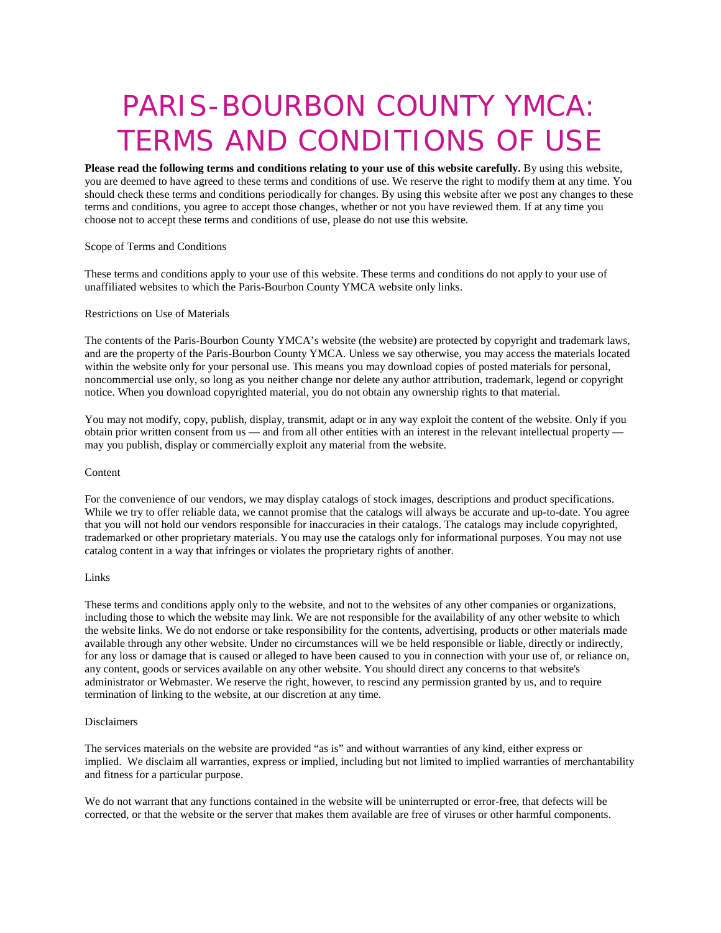# PARIS-BOURBON COUNTY YMCA: TERMS AND CONDITIONS OF USE

**Please read the following terms and conditions relating to your use of this website carefully.** By using this website, you are deemed to have agreed to these terms and conditions of use. We reserve the right to modify them at any time. You should check these terms and conditions periodically for changes. By using this website after we post any changes to these terms and conditions, you agree to accept those changes, whether or not you have reviewed them. If at any time you choose not to accept these terms and conditions of use, please do not use this website.

## Scope of Terms and Conditions

These terms and conditions apply to your use of this website. These terms and conditions do not apply to your use of unaffiliated websites to which the Paris-Bourbon County YMCA website only links.

#### Restrictions on Use of Materials

The contents of the Paris-Bourbon County YMCA's website (the website) are protected by copyright and trademark laws, and are the property of the Paris-Bourbon County YMCA. Unless we say otherwise, you may access the materials located within the website only for your personal use. This means you may download copies of posted materials for personal, noncommercial use only, so long as you neither change nor delete any author attribution, trademark, legend or copyright notice. When you download copyrighted material, you do not obtain any ownership rights to that material.

You may not modify, copy, publish, display, transmit, adapt or in any way exploit the content of the website. Only if you obtain prior written consent from us — and from all other entities with an interest in the relevant intellectual property may you publish, display or commercially exploit any material from the website.

#### Content

For the convenience of our vendors, we may display catalogs of stock images, descriptions and product specifications. While we try to offer reliable data, we cannot promise that the catalogs will always be accurate and up-to-date. You agree that you will not hold our vendors responsible for inaccuracies in their catalogs. The catalogs may include copyrighted, trademarked or other proprietary materials. You may use the catalogs only for informational purposes. You may not use catalog content in a way that infringes or violates the proprietary rights of another.

#### Links

These terms and conditions apply only to the website, and not to the websites of any other companies or organizations, including those to which the website may link. We are not responsible for the availability of any other website to which the website links. We do not endorse or take responsibility for the contents, advertising, products or other materials made available through any other website. Under no circumstances will we be held responsible or liable, directly or indirectly, for any loss or damage that is caused or alleged to have been caused to you in connection with your use of, or reliance on, any content, goods or services available on any other website. You should direct any concerns to that website's administrator or Webmaster. We reserve the right, however, to rescind any permission granted by us, and to require termination of linking to the website, at our discretion at any time.

#### Disclaimers

The services materials on the website are provided "as is" and without warranties of any kind, either express or implied. We disclaim all warranties, express or implied, including but not limited to implied warranties of merchantability and fitness for a particular purpose.

We do not warrant that any functions contained in the website will be uninterrupted or error-free, that defects will be corrected, or that the website or the server that makes them available are free of viruses or other harmful components.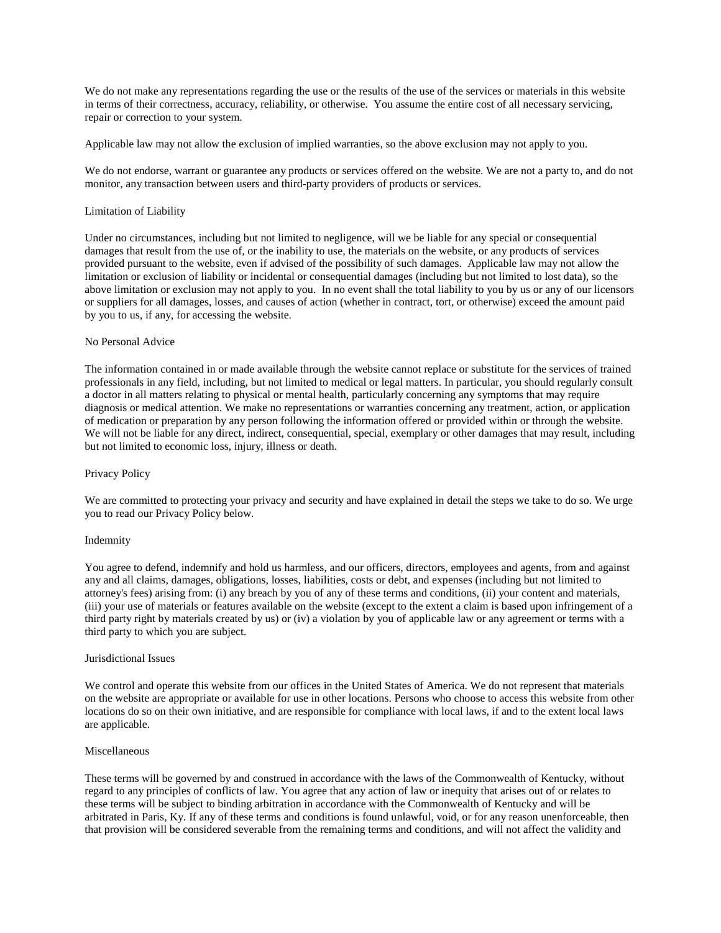We do not make any representations regarding the use or the results of the use of the services or materials in this website in terms of their correctness, accuracy, reliability, or otherwise. You assume the entire cost of all necessary servicing, repair or correction to your system.

Applicable law may not allow the exclusion of implied warranties, so the above exclusion may not apply to you.

We do not endorse, warrant or guarantee any products or services offered on the website. We are not a party to, and do not monitor, any transaction between users and third-party providers of products or services.

### Limitation of Liability

Under no circumstances, including but not limited to negligence, will we be liable for any special or consequential damages that result from the use of, or the inability to use, the materials on the website, or any products of services provided pursuant to the website, even if advised of the possibility of such damages. Applicable law may not allow the limitation or exclusion of liability or incidental or consequential damages (including but not limited to lost data), so the above limitation or exclusion may not apply to you. In no event shall the total liability to you by us or any of our licensors or suppliers for all damages, losses, and causes of action (whether in contract, tort, or otherwise) exceed the amount paid by you to us, if any, for accessing the website.

## No Personal Advice

The information contained in or made available through the website cannot replace or substitute for the services of trained professionals in any field, including, but not limited to medical or legal matters. In particular, you should regularly consult a doctor in all matters relating to physical or mental health, particularly concerning any symptoms that may require diagnosis or medical attention. We make no representations or warranties concerning any treatment, action, or application of medication or preparation by any person following the information offered or provided within or through the website. We will not be liable for any direct, indirect, consequential, special, exemplary or other damages that may result, including but not limited to economic loss, injury, illness or death.

# Privacy Policy

We are committed to protecting your privacy and security and have explained in detail the steps we take to do so. We urge you to read our Privacy Policy below.

#### Indemnity

You agree to defend, indemnify and hold us harmless, and our officers, directors, employees and agents, from and against any and all claims, damages, obligations, losses, liabilities, costs or debt, and expenses (including but not limited to attorney's fees) arising from: (i) any breach by you of any of these terms and conditions, (ii) your content and materials, (iii) your use of materials or features available on the website (except to the extent a claim is based upon infringement of a third party right by materials created by us) or (iv) a violation by you of applicable law or any agreement or terms with a third party to which you are subject.

#### Jurisdictional Issues

We control and operate this website from our offices in the United States of America. We do not represent that materials on the website are appropriate or available for use in other locations. Persons who choose to access this website from other locations do so on their own initiative, and are responsible for compliance with local laws, if and to the extent local laws are applicable.

## Miscellaneous

These terms will be governed by and construed in accordance with the laws of the Commonwealth of Kentucky, without regard to any principles of conflicts of law. You agree that any action of law or inequity that arises out of or relates to these terms will be subject to binding arbitration in accordance with the Commonwealth of Kentucky and will be arbitrated in Paris, Ky. If any of these terms and conditions is found unlawful, void, or for any reason unenforceable, then that provision will be considered severable from the remaining terms and conditions, and will not affect the validity and